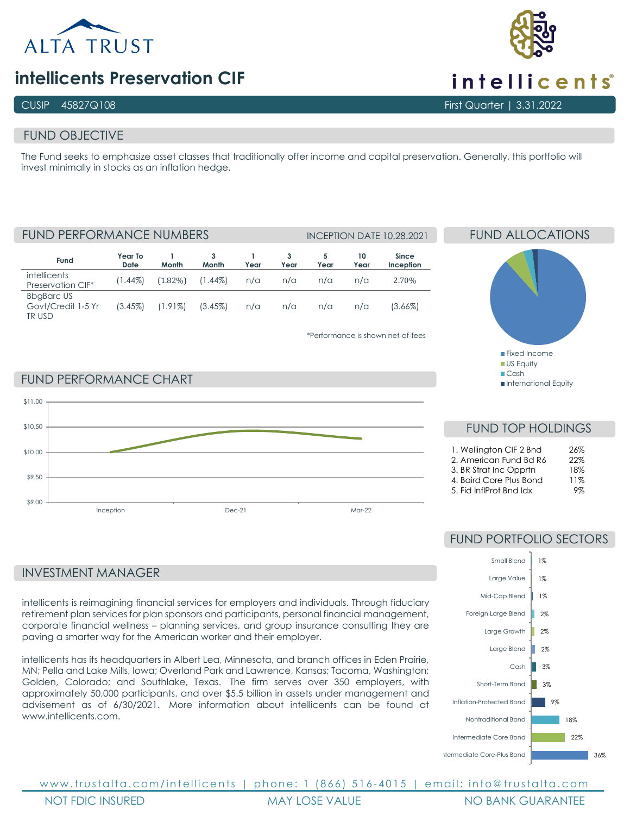

# **intellicents Preservation CIF**

### CUSIP 45827Q108 First Quarter | 3.31.2022

### FUND OBJECTIVE

The Fund seeks to emphasize asset classes that traditionally offer income and capital preservation. Generally, this portfolio will invest minimally in stocks as an inflation hedge.

**Fund Year To Date 1 Month 3 Month 1 Year 3 Year 5 Year 10 Year Since Inception** intellicents Preservation CIF\* (1.44%) (1.82%) (1.44%) n/a n/a n/a n/a 2.70% BbgBarc US Govt/Credit 1-5 Yr TR USD (3.45%) (1.91%) (3.45%) n/a n/a n/a n/a (3.66%) FUND PERFORMANCE NUMBERS INCEPTION DATE 10.28.2021

\*Performance is shown net-of-fees

# FUND ALLOCATIONS

■Fixed Income **US Equity** Cash

International Equity

### FUND PERFORMANCE CHART



### INVESTMENT MANAGER

intellicents is reimagining financial services for employers and individuals. Through fiduciary retirement plan services for plan sponsors and participants, personal financial management, corporate financial wellness – planning services, and group insurance consulting they are paving a smarter way for the American worker and their employer.

intellicents has its headquarters in Albert Lea, Minnesota, and branch offices in Eden Prairie, MN; Pella and Lake Mills, Iowa; Overland Park and Lawrence, Kansas; Tacoma, Washington; Golden, Colorado; and Southlake, Texas. The firm serves over 350 employers, with approximately 50,000 participants, and over \$5.5 billion in assets under management and advisement as of 6/30/2021. More information about intellicents can be found at www.intellicents.com

# FUND TOP HOLDINGS 1. Wellington CIF 2 Bnd 26%

| 2. American Fund Bd R6 | 22% |
|------------------------|-----|
| 3. BR Strat Inc Opprtn | 18% |

4. Baird Core Plus Bond 11%

5. Fid InflProt Bnd Idx 9%

# FUND PORTFOLIO SECTORS



www.trustalta.com/ intellicents | phone: 1 (866) 516 - 4015 | email: info@trustalta.com NOT FDIC INSURED MAY LOSE VALUE NO BANK GUARANTEE



intellicents<sup>®</sup>